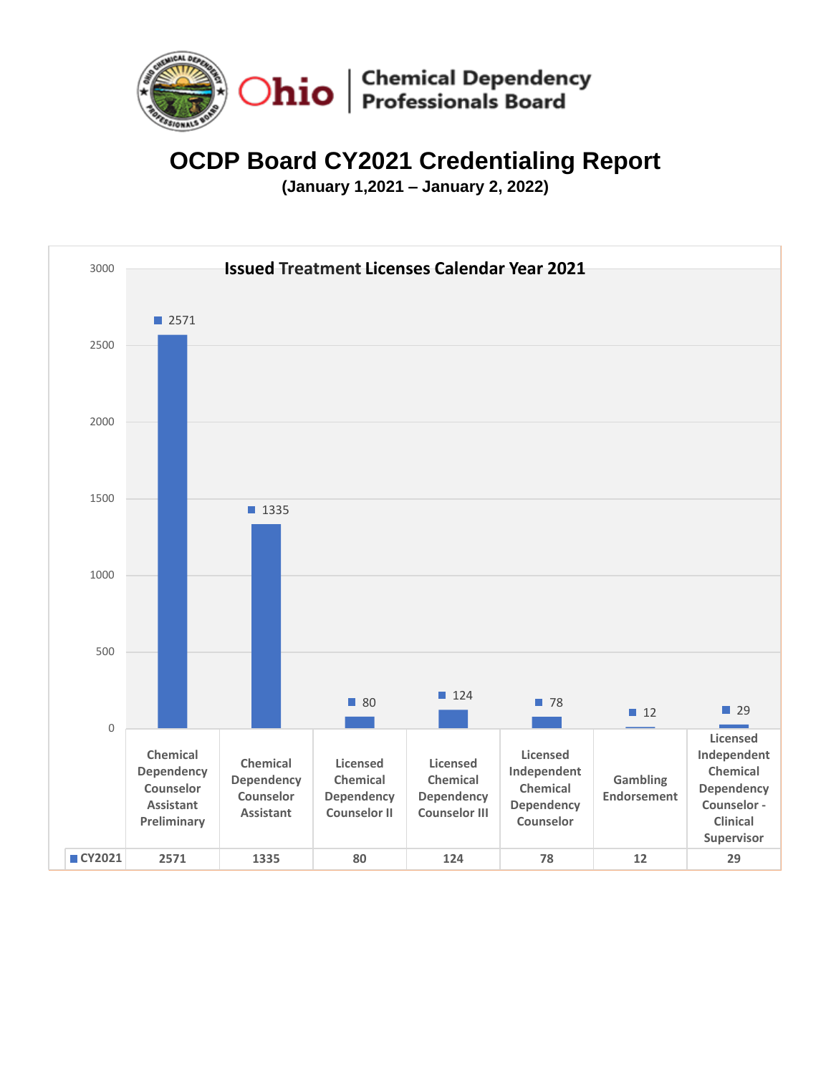

# **OCDP Board CY2021 Credentialing Report**

**(January 1,2021 – January 2, 2022)**

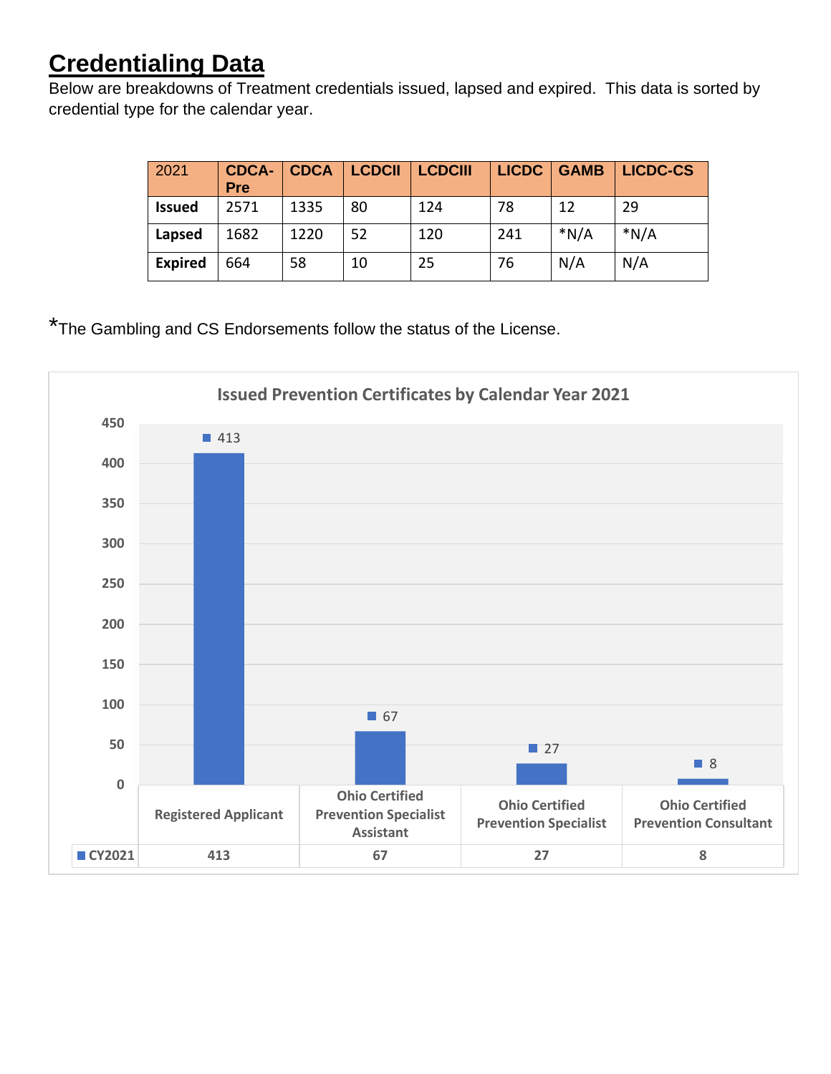# **Credentialing Data**

Below are breakdowns of Treatment credentials issued, lapsed and expired. This data is sorted by credential type for the calendar year.

| 2021           | <b>CDCA-</b><br>Pre | <b>CDCA</b> | <b>LCDCII</b> | <b>LCDCIII</b> | <b>LICDC</b> | <b>GAMB</b> | <b>LICDC-CS</b> |
|----------------|---------------------|-------------|---------------|----------------|--------------|-------------|-----------------|
| <b>Issued</b>  | 2571                | 1335        | 80            | 124            | 78           | 12          | 29              |
| Lapsed         | 1682                | 1220        | 52            | 120            | 241          | $*N/A$      | $*N/A$          |
| <b>Expired</b> | 664                 | 58          | 10            | 25             | 76           | N/A         | N/A             |

\*The Gambling and CS Endorsements follow the status of the License.

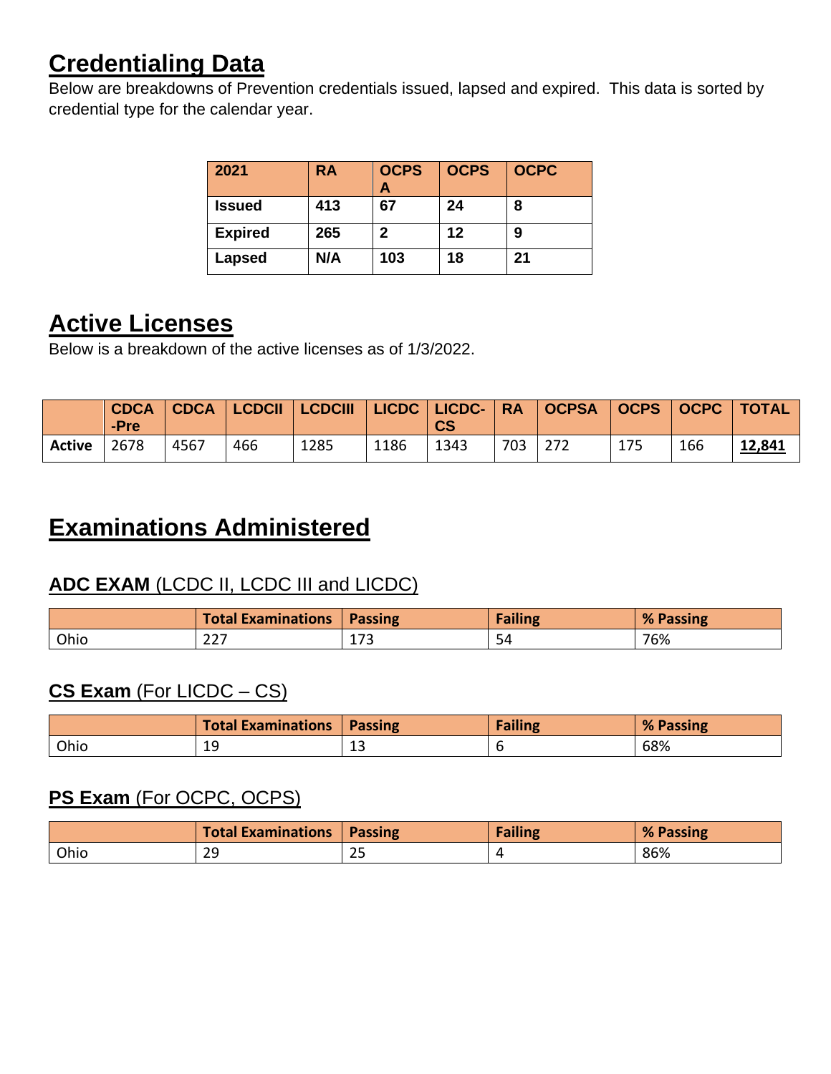# **Credentialing Data**

Below are breakdowns of Prevention credentials issued, lapsed and expired. This data is sorted by credential type for the calendar year.

| 2021           | RA  | <b>OCPS</b><br>Α | <b>OCPS</b> | <b>OCPC</b> |
|----------------|-----|------------------|-------------|-------------|
| <b>Issued</b>  | 413 | 67               | 24          | 8           |
| <b>Expired</b> | 265 | 2                | 12          | 9           |
| <b>Lapsed</b>  | N/A | 103              | 18          | 21          |

## **Active Licenses**

Below is a breakdown of the active licenses as of 1/3/2022.

|        | <b>CDCA</b><br>-Pre | <b>CDCA</b> | LCDCII   LCDCIII |      |      | LICDC   LICDC-   RA   OCPSA<br><b>CS</b> |     |      |     | $\vert$ OCPS $\vert$ OCPC $\vert$ TOTAL |        |
|--------|---------------------|-------------|------------------|------|------|------------------------------------------|-----|------|-----|-----------------------------------------|--------|
| Active | 2678                | 4567        | 466              | 1285 | 1186 | 1343                                     | 703 | -272 | 175 | 166                                     | 12,841 |

## **Examinations Administered**

### **ADC EXAM** (LCDC II, LCDC III and LICDC)

|      | <b>Total Examinations</b> | <b>Passing</b>                    | Failing | % Passing |
|------|---------------------------|-----------------------------------|---------|-----------|
| Ohio | ົ່<br>ر ے ے               | $\overline{\phantom{a}}$<br>ᅩ / J | 54      | 76%       |

### **CS Exam** (For LICDC – CS)

|      | <b>Total Examinations</b> | <b>Passing</b> | ailing | % Passing |
|------|---------------------------|----------------|--------|-----------|
| Ohio | 1 C<br>ب بلد              | --             |        | 68%       |

#### **PS Exam** (For OCPC, OCPS)

|      | <b>Total Examinations</b>      | <b>Passing</b>           | <b>Failing</b> | % Passing |
|------|--------------------------------|--------------------------|----------------|-----------|
| Ohio | 29<br>$\overline{\phantom{a}}$ | $\overline{\phantom{a}}$ |                | 86%       |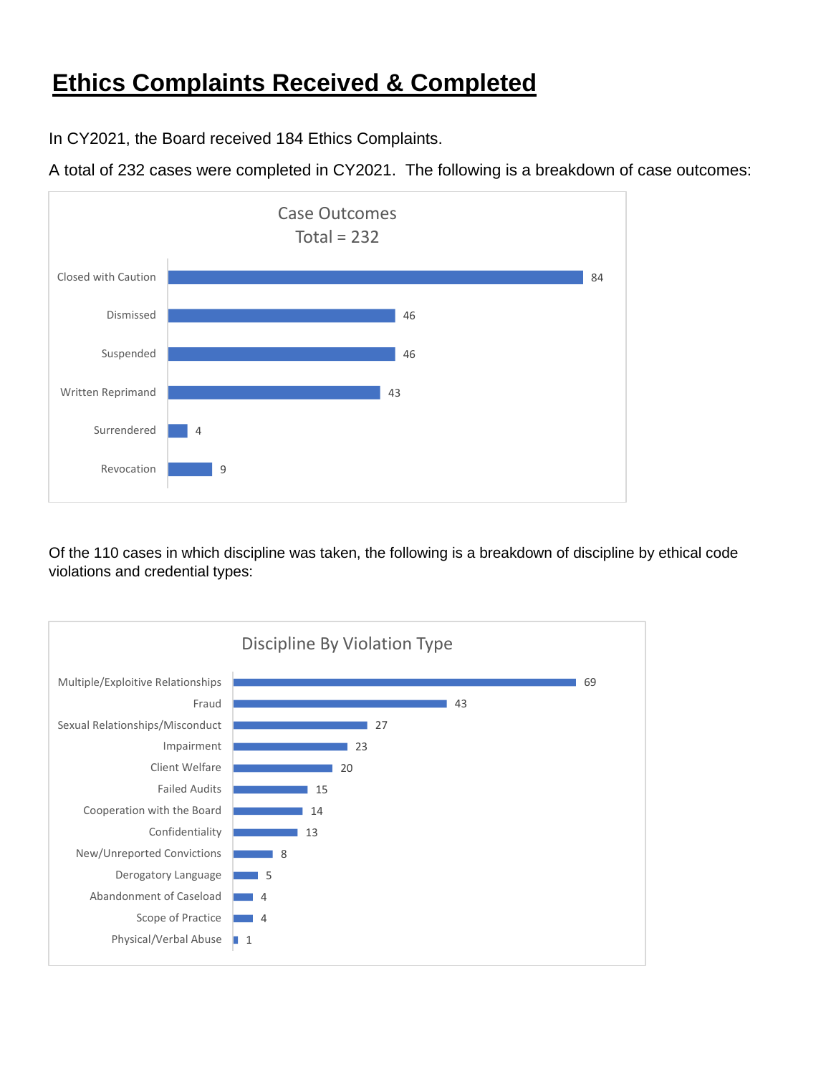### **Ethics Complaints Received & Completed**

In CY2021, the Board received 184 Ethics Complaints.

A total of 232 cases were completed in CY2021. The following is a breakdown of case outcomes:



Of the 110 cases in which discipline was taken, the following is a breakdown of discipline by ethical code violations and credential types: